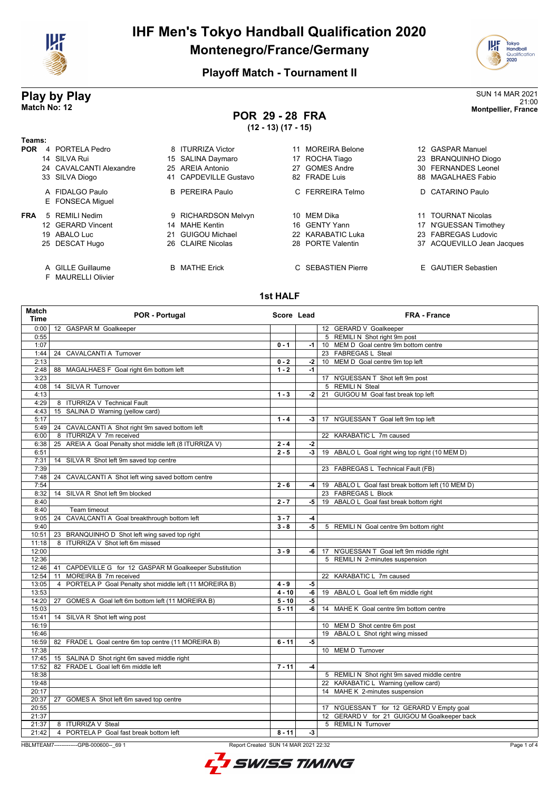

# **IHF Men's Tokyo Handball Qualification 2020 Montenegro/France/Germany**



### **Playoff Match - Tournament II**

# **Play by Play** SUN 14 MAR 2021

#### 21:00 **Match No: 12 Montpellier, France POR 29 - 28 FRA**

**(12 - 13) (17 - 15)**

| Геаms:     |                                         |                        |                          |                            |
|------------|-----------------------------------------|------------------------|--------------------------|----------------------------|
| <b>POR</b> | 4 PORTELA Pedro                         | 8 ITURRIZA Victor      | <b>MOREIRA Belone</b>    | 12 GASPAR Manuel           |
|            | 14 SILVA Rui                            | 15 SALINA Daymaro      | ROCHA Tiago<br>17        | 23 BRANQUINHO Diogo        |
|            | 24 CAVALCANTI Alexandre                 | 25 AREIA Antonio       | <b>GOMES Andre</b><br>27 | 30 FERNANDES Leonel        |
|            | 33 SILVA Diogo                          | 41 CAPDEVILLE Gustavo  | 82 FRADE Luis            | 88 MAGALHAES Fabio         |
|            | A FIDALGO Paulo                         | <b>B</b> PEREIRA Paulo | FERREIRA Telmo<br>C.     | D CATARINO Paulo           |
|            | E FONSECA Miquel                        |                        |                          |                            |
| <b>FRA</b> | 5 REMILI Nedim                          | 9 RICHARDSON Melvyn    | MEM Dika<br>10           | 11 TOURNAT Nicolas         |
|            | 12 GERARD Vincent                       | 14 MAHE Kentin         | 16 GENTY Yann            | 17 N'GUESSAN Timothey      |
|            | 19 ABALO Luc                            | 21 GUIGOU Michael      | 22 KARABATIC Luka        | 23 FABREGAS Ludovic        |
|            | 25 DESCAT Hugo                          | 26 CLAIRE Nicolas      | 28 PORTE Valentin        | 37 ACQUEVILLO Jean Jacques |
|            | A GILLE Guillaume<br>F MAURELLI Olivier | <b>B</b> MATHE Erick   | C SEBASTIEN Pierre       | E GAUTIER Sebastien        |

#### **1st HALF**

| <b>Match</b><br><b>Time</b> | POR - Portugal                                              | Score Lead          |      | <b>FRA - France</b>                               |
|-----------------------------|-------------------------------------------------------------|---------------------|------|---------------------------------------------------|
| 0:00                        | 12 GASPAR M Goalkeeper                                      |                     |      | 12 GERARD V Goalkeeper                            |
| 0:55                        |                                                             |                     |      | 5 REMILI N Shot right 9m post                     |
| 1:07                        |                                                             | $0 - 1$             | $-1$ | 10 MEM D Goal centre 9m bottom centre             |
| 1:44                        | 24 CAVALCANTI A Turnover                                    |                     |      | 23 FABREGAS L Steal                               |
| 2:13                        |                                                             | $0 - 2$             | $-2$ | 10 MEM D Goal centre 9m top left                  |
| 2:48                        | MAGALHAES F Goal right 6m bottom left<br>88                 | $1 - 2$             | $-1$ |                                                   |
| 3:23                        |                                                             |                     |      | 17 N'GUESSAN T Shot left 9m post                  |
| 4:08                        | 14 SILVA R Turnover                                         |                     |      | 5 REMILI N Steal                                  |
| 4:13                        |                                                             | $1 - 3$             | $-2$ | 21 GUIGOU M Goal fast break top left              |
| 4:29                        | 8 ITURRIZA V Technical Fault                                |                     |      |                                                   |
| 4:43                        | 15 SALINA D Warning (yellow card)                           |                     |      |                                                   |
| 5:17                        |                                                             | $1 - 4$             | -3   | 17 N'GUESSAN T Goal left 9m top left              |
| 5:49                        | 24 CAVALCANTI A Shot right 9m saved bottom left             |                     |      |                                                   |
| 6:00                        | ITURRIZA V 7m received<br>8                                 |                     |      | 22 KARABATIC L 7m caused                          |
| 6:38                        | AREIA A Goal Penalty shot middle left (8 ITURRIZA V)<br>25  | $2 - 4$             | $-2$ |                                                   |
| 6:51                        |                                                             | $2 - 5$             | $-3$ | 19 ABALO L Goal right wing top right (10 MEM D)   |
| 7:31                        | SILVA R Shot left 9m saved top centre<br>14                 |                     |      |                                                   |
| 7:39                        |                                                             |                     |      | 23 FABREGAS L Technical Fault (FB)                |
| 7:48                        | CAVALCANTI A Shot left wing saved bottom centre<br>24       |                     |      |                                                   |
| 7:54                        |                                                             | $2 - 6$             | $-4$ | 19 ABALO L Goal fast break bottom left (10 MEM D) |
| 8:32                        | SILVA R Shot left 9m blocked<br>14                          |                     |      | 23 FABREGAS L Block                               |
| 8:40                        |                                                             | $2 - 7$             | -5   | 19 ABALO L Goal fast break bottom right           |
| 8:40                        | Team timeout                                                |                     |      |                                                   |
| 9:05                        | CAVALCANTI A Goal breakthrough bottom left<br>24            | $3 - 7$             | $-4$ |                                                   |
| 9:40                        |                                                             | $3 - 8$             | $-5$ | 5 REMILI N Goal centre 9m bottom right            |
| 10:51                       | 23 BRANQUINHO D Shot left wing saved top right              |                     |      |                                                   |
| 11:18                       | 8 ITURRIZA V Shot left 6m missed                            |                     |      |                                                   |
| 12:00                       |                                                             | $3 - 9$             | -6   | 17 N'GUESSAN T Goal left 9m middle right          |
| 12:36                       |                                                             |                     |      | 5 REMILI N 2-minutes suspension                   |
| 12:46                       | CAPDEVILLE G for 12 GASPAR M Goalkeeper Substitution<br>41  |                     |      |                                                   |
| 12:54                       | MOREIRA B 7m received<br>11                                 |                     |      | 22 KARABATIC L 7m caused                          |
| 13:05                       | PORTELA P Goal Penalty shot middle left (11 MOREIRA B)<br>4 | $4 - 9$             | -5   |                                                   |
| 13:53                       |                                                             | $4 - 10$            | -6   | 19 ABALO L Goal left 6m middle right              |
| 14:20                       | GOMES A Goal left 6m bottom left (11 MOREIRA B)<br>27       | $\overline{5}$ - 10 | $-5$ |                                                   |
| 15:03                       |                                                             | $5 - 11$            | -6   | 14 MAHE K Goal centre 9m bottom centre            |
| 15:41                       | 14 SILVA R Shot left wing post                              |                     |      |                                                   |
| 16:19                       |                                                             |                     |      | 10 MEM D Shot centre 6m post                      |
| 16:46                       |                                                             |                     |      | 19 ABALO L Shot right wing missed                 |
| 16:59                       | 82 FRADE L Goal centre 6m top centre (11 MOREIRA B)         | $6 - 11$            | $-5$ |                                                   |
| 17:38                       |                                                             |                     |      | 10 MEM D Turnover                                 |
| 17:45                       | 15 SALINA D Shot right 6m saved middle right                |                     |      |                                                   |
| 17:52                       | 82 FRADE L Goal left 6m middle left                         | $7 - 11$            | $-4$ |                                                   |
| 18:38                       |                                                             |                     |      | 5 REMILI N Shot right 9m saved middle centre      |
| 19:48                       |                                                             |                     |      | 22 KARABATIC L Warning (yellow card)              |
| 20:17                       |                                                             |                     |      | 14 MAHE K 2-minutes suspension                    |
| 20:37                       | 27 GOMES A Shot left 6m saved top centre                    |                     |      |                                                   |
| 20:55                       |                                                             |                     |      | 17 N'GUESSAN T for 12 GERARD V Empty goal         |
| 21:37                       |                                                             |                     |      | 12 GERARD V for 21 GUIGOU M Goalkeeper back       |
| 21:37                       | 8 ITURRIZA V Steal                                          |                     |      | 5 REMILIN Turnover                                |
| 21:42                       | 4 PORTELA P Goal fast break bottom left                     | $8 - 11$            | -3   |                                                   |

HBLMTEAM7-------------GPB-000600--\_69 1 Report Created SUN 14 MAR 2021 22:32

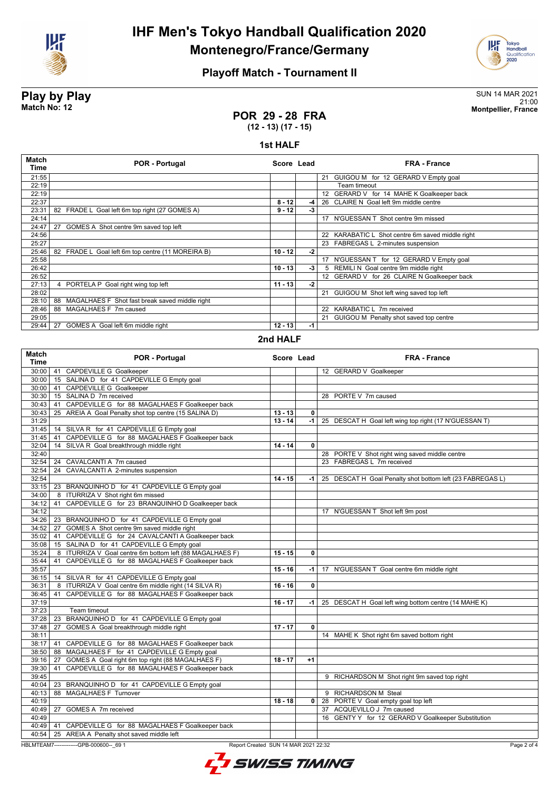

# **IHF Men's Tokyo Handball Qualification 2020 Montenegro/France/Germany**



## **Playoff Match - Tournament II**

#### **Play by Play** SUN 14 MAR 2021 21:00 **Match No: 12 Montpellier, France**

**POR 29 - 28 FRA (12 - 13) (17 - 15)**

## **1st HALF**

| <b>Match</b><br>Time | <b>POR - Portugal</b>                                | Score Lead |      | <b>FRA - France</b>                              |
|----------------------|------------------------------------------------------|------------|------|--------------------------------------------------|
| 21:55                |                                                      |            |      | 21 GUIGOU M for 12 GERARD V Empty goal           |
| 22:19                |                                                      |            |      | Team timeout                                     |
| 22:19                |                                                      |            |      | 12 GERARD V for 14 MAHE K Goalkeeper back        |
| 22:37                |                                                      | $8 - 12$   | -4   | 26 CLAIRE N Goal left 9m middle centre           |
| 23:31                | 82<br>FRADE L Goal left 6m top right (27 GOMES A)    | $9 - 12$   | -3   |                                                  |
| 24:14                |                                                      |            |      | N'GUESSAN T Shot centre 9m missed<br>17          |
| 24:47                | 27<br>GOMES A Shot centre 9m saved top left          |            |      |                                                  |
| 24:56                |                                                      |            |      | 22 KARABATIC L Shot centre 6m saved middle right |
| 25:27                |                                                      |            |      | 23 FABREGAS L 2-minutes suspension               |
| 25:46                | 82<br>FRADE L Goal left 6m top centre (11 MOREIRA B) | $10 - 12$  | $-2$ |                                                  |
| 25:58                |                                                      |            |      | N'GUESSAN T for 12 GERARD V Empty goal<br>17     |
| 26:42                |                                                      | $10 - 13$  | -3   | REMILI N Goal centre 9m middle right<br>5.       |
| 26:52                |                                                      |            |      | 12 GERARD V for 26 CLAIRE N Goalkeeper back      |
| 27:13                | 4 PORTELA P Goal right wing top left                 | $11 - 13$  | -2   |                                                  |
| 28:02                |                                                      |            |      | GUIGOU M Shot left wing saved top left<br>21     |
| 28:10                | MAGALHAES F Shot fast break saved middle right<br>88 |            |      |                                                  |
| 28:46                | MAGALHAES F 7m caused<br>88                          |            |      | 22 KARABATIC L 7m received                       |
| 29:05                |                                                      |            |      | 21 GUIGOU M Penalty shot saved top centre        |
| 29:44                | GOMES A Goal left 6m middle right<br>27              | $12 - 13$  | -1   |                                                  |

#### **2nd HALF**

| <b>Match</b><br><b>Time</b> | <b>POR - Portugal</b>                                                            | Score Lead |                         | <b>FRA - France</b>                                       |
|-----------------------------|----------------------------------------------------------------------------------|------------|-------------------------|-----------------------------------------------------------|
|                             | 30:00   41 CAPDEVILLE G Goalkeeper                                               |            |                         | 12 GERARD V Goalkeeper                                    |
|                             | 30:00   15 SALINA D for 41 CAPDEVILLE G Empty goal                               |            |                         |                                                           |
| 30:00                       | 41 CAPDEVILLE G Goalkeeper                                                       |            |                         |                                                           |
| 30:30                       | 15 SALINA D 7m received                                                          |            |                         | 28 PORTE V 7m caused                                      |
| 30:43                       | CAPDEVILLE G for 88 MAGALHAES F Goalkeeper back<br>41                            |            |                         |                                                           |
| 30:43                       | 25 AREIA A Goal Penalty shot top centre (15 SALINA D)                            | $13 - 13$  | 0                       |                                                           |
| 31:29                       |                                                                                  | $13 - 14$  | -1                      | 25 DESCAT H Goal left wing top right (17 N'GUESSAN T)     |
|                             | 31:45   14 SILVA R for 41 CAPDEVILLE G Empty goal                                |            |                         |                                                           |
| $31:45$ 41                  | CAPDEVILLE G for 88 MAGALHAES F Goalkeeper back                                  |            |                         |                                                           |
| 32:04                       | 14 SILVA R Goal breakthrough middle right                                        | $14 - 14$  | 0                       |                                                           |
| 32:40                       |                                                                                  |            |                         | 28 PORTE V Shot right wing saved middle centre            |
| 32:54                       | 24 CAVALCANTI A 7m caused                                                        |            |                         | 23 FABREGAS L 7m received                                 |
| 32:54                       | 24 CAVALCANTI A 2-minutes suspension                                             |            |                         |                                                           |
| 32:54                       |                                                                                  | $14 - 15$  | -1 I                    | 25 DESCAT H Goal Penalty shot bottom left (23 FABREGAS L) |
|                             | 33:15   23 BRANQUINHO D for 41 CAPDEVILLE G Empty goal                           |            |                         |                                                           |
| 34:00                       | 8 ITURRIZA V Shot right 6m missed                                                |            |                         |                                                           |
|                             | 34:12 41 CAPDEVILLE G for 23 BRANQUINHO D Goalkeeper back                        |            |                         |                                                           |
| 34:12                       |                                                                                  |            |                         | 17 N'GUESSAN T Shot left 9m post                          |
|                             | 34:26   23 BRANQUINHO D for 41 CAPDEVILLE G Empty goal                           |            |                         |                                                           |
|                             | 34:52   27 GOMES A Shot centre 9m saved middle right                             |            |                         |                                                           |
| 35:02                       | 41 CAPDEVILLE G for 24 CAVALCANTI A Goalkeeper back                              |            |                         |                                                           |
| 35:08                       | 15 SALINA D for 41 CAPDEVILLE G Empty goal                                       |            |                         |                                                           |
| 35:24                       | 8 ITURRIZA V Goal centre 6m bottom left (88 MAGALHAES F)                         | $15 - 15$  | $\mathbf{0}$            |                                                           |
| 35:44                       | 41 CAPDEVILLE G for 88 MAGALHAES F Goalkeeper back                               |            |                         |                                                           |
| 35:57                       |                                                                                  | $15 - 16$  | -1 l                    | 17 N'GUESSAN T Goal centre 6m middle right                |
|                             | 36:15   14 SILVA R for 41 CAPDEVILLE G Empty goal                                |            |                         |                                                           |
| 36:31                       | 8 ITURRIZA V Goal centre 6m middle right (14 SILVA R)                            | $16 - 16$  | $\overline{\mathbf{0}}$ |                                                           |
| 36:45 41                    | CAPDEVILLE G for 88 MAGALHAES F Goalkeeper back                                  |            |                         |                                                           |
| 37:19                       |                                                                                  | $16 - 17$  | -1 l                    | 25 DESCAT H Goal left wing bottom centre (14 MAHE K)      |
| 37:23                       | Team timeout                                                                     |            |                         |                                                           |
| 37:28                       | BRANQUINHO D for 41 CAPDEVILLE G Empty goal<br>23                                |            |                         |                                                           |
| 37:48                       | GOMES A Goal breakthrough middle right<br>27                                     | $17 - 17$  | $\mathbf 0$             |                                                           |
| 38:11                       |                                                                                  |            |                         | 14 MAHE K Shot right 6m saved bottom right                |
| 38:17                       | 41 CAPDEVILLE G for 88 MAGALHAES F Goalkeeper back                               |            |                         |                                                           |
| 38:50                       | 88 MAGALHAES F for 41 CAPDEVILLE G Empty goal                                    |            |                         |                                                           |
| 39:16                       | GOMES A Goal right 6m top right (88 MAGALHAES F)<br>27                           | $18 - 17$  | $+1$                    |                                                           |
| 39:30                       | CAPDEVILLE G for 88 MAGALHAES F Goalkeeper back<br>41                            |            |                         |                                                           |
| 39:45                       |                                                                                  |            |                         | 9 RICHARDSON M Shot right 9m saved top right              |
|                             | 40:04   23 BRANQUINHO D for 41 CAPDEVILLE G Empty goal                           |            |                         |                                                           |
| 40:13                       | <b>MAGALHAES F Turnover</b><br>88                                                |            |                         | 9 RICHARDSON M Steal                                      |
| 40:19                       |                                                                                  | $18 - 18$  |                         | 0 28 PORTE V Goal empty goal top left                     |
|                             | 40:49   27 GOMES A 7m received                                                   |            |                         | 37 ACQUEVILLO J 7m caused                                 |
| 40:49                       |                                                                                  |            |                         | 16 GENTY Y for 12 GERARD V Goalkeeper Substitution        |
|                             | 40:49   41 CAPDEVILLE G for 88 MAGALHAES F Goalkeeper back                       |            |                         |                                                           |
|                             | 40:54   25 AREIA A Penalty shot saved middle left                                |            |                         |                                                           |
|                             | HBLMTEAM7--------------GPB-000600-- 69 1<br>Report Created SUN 14 MAR 2021 22:32 |            |                         | Page 2 of 4                                               |
|                             |                                                                                  |            |                         |                                                           |

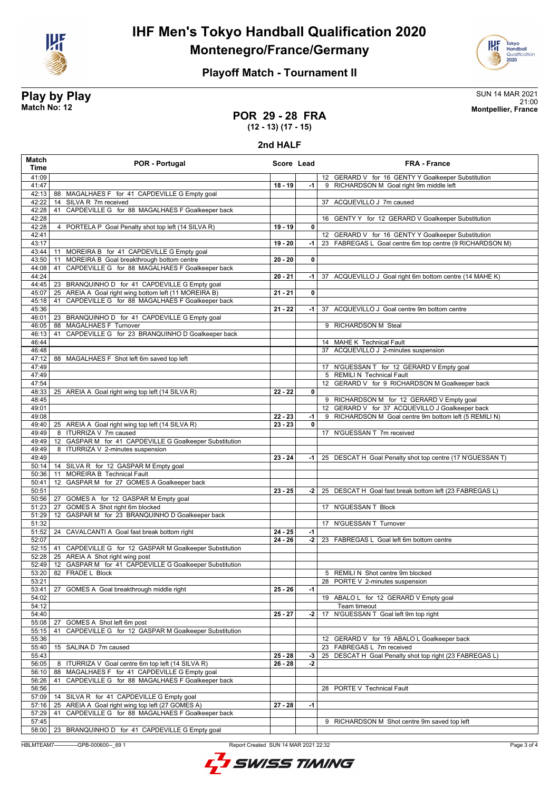

# **IHF Men's Tokyo Handball Qualification 2020 Montenegro/France/Germany**



## **Playoff Match - Tournament II**

#### **Play by Play** SUN 14 MAR 2021 21:00 **Match No: 12 Montpellier, France**

**POR 29 - 28 FRA**

## **(12 - 13) (17 - 15)**

**2nd HALF**

| Match<br>Time  | POR - Portugal                                                                                                 | Score Lead           |              | <b>FRA - France</b>                                                     |
|----------------|----------------------------------------------------------------------------------------------------------------|----------------------|--------------|-------------------------------------------------------------------------|
| 41:09          |                                                                                                                |                      |              | 12 GERARD V for 16 GENTY Y Goalkeeper Substitution                      |
| 41:47          |                                                                                                                | $18 - 19$            | $-1$         | 9 RICHARDSON M Goal right 9m middle left                                |
| 42:13          | 88 MAGALHAES F for 41 CAPDEVILLE G Empty goal                                                                  |                      |              |                                                                         |
| 42:22          | SILVA R 7m received<br>14                                                                                      |                      |              | 37 ACQUEVILLO J 7m caused                                               |
| 42:28          | CAPDEVILLE G for 88 MAGALHAES F Goalkeeper back<br>41                                                          |                      |              |                                                                         |
| 42:28<br>42:28 | 4 PORTELA P Goal Penalty shot top left (14 SILVA R)                                                            | $19 - 19$            | 0            | 16 GENTY Y for 12 GERARD V Goalkeeper Substitution                      |
| 42:41          |                                                                                                                |                      |              | 12 GERARD V for 16 GENTY Y Goalkeeper Substitution                      |
| 43:17          |                                                                                                                | 19 - 20              | -1           | 23 FABREGAS L Goal centre 6m top centre (9 RICHARDSON M)                |
| 43:44          | MOREIRA B for 41 CAPDEVILLE G Empty goal<br>11                                                                 |                      |              |                                                                         |
| 43:50          | MOREIRA B Goal breakthrough bottom centre<br>11                                                                | $20 - 20$            | 0            |                                                                         |
| 44:08          | CAPDEVILLE G for 88 MAGALHAES F Goalkeeper back<br>41                                                          |                      |              |                                                                         |
| 44:24          |                                                                                                                | $20 - 21$            | -1           | 37 ACQUEVILLO J Goal right 6m bottom centre (14 MAHE K)                 |
| 44:45          | 23 BRANQUINHO D for 41 CAPDEVILLE G Empty goal                                                                 |                      |              |                                                                         |
| 45:07<br>45:18 | 25 AREIA A Goal right wing bottom left (11 MOREIRA B)<br>CAPDEVILLE G for 88 MAGALHAES F Goalkeeper back<br>41 | $21 - 21$            | 0            |                                                                         |
| 45:36          |                                                                                                                | $21 - 22$            | -1           | 37 ACQUEVILLO J Goal centre 9m bottom centre                            |
| 46:01          | 23 BRANQUINHO D for 41 CAPDEVILLE G Empty goal                                                                 |                      |              |                                                                         |
| 46:05          | 88 MAGALHAES F Turnover                                                                                        |                      |              | 9 RICHARDSON M Steal                                                    |
| 46:13          | CAPDEVILLE G for 23 BRANQUINHO D Goalkeeper back<br>41                                                         |                      |              |                                                                         |
| 46:44          |                                                                                                                |                      |              | 14 MAHE K Technical Fault                                               |
| 46:48          |                                                                                                                |                      |              | 37 ACQUEVILLO J 2-minutes suspension                                    |
| 47:12          | 88 MAGALHAES F Shot left 6m saved top left                                                                     |                      |              |                                                                         |
| 47:49<br>47:49 |                                                                                                                |                      |              | 17 N'GUESSAN T for 12 GERARD V Empty goal<br>5 REMILI N Technical Fault |
| 47:54          |                                                                                                                |                      |              | 12 GERARD V for 9 RICHARDSON M Goalkeeper back                          |
| 48:33          | 25 AREIA A Goal right wing top left (14 SILVA R)                                                               | $22 - 22$            | $\mathbf{0}$ |                                                                         |
| 48:45          |                                                                                                                |                      |              | 9 RICHARDSON M for 12 GERARD V Empty goal                               |
| 49:01          |                                                                                                                |                      |              | 12 GERARD V for 37 ACQUEVILLO J Goalkeeper back                         |
| 49:08          |                                                                                                                | $22 - 23$            | -1           | 9 RICHARDSON M Goal centre 9m bottom left (5 REMILI N)                  |
| 49:40          | 25 AREIA A Goal right wing top left (14 SILVA R)                                                               | $23 - 23$            | $\mathbf 0$  |                                                                         |
| 49:49<br>49:49 | 8 ITURRIZA V 7m caused<br>12 GASPAR M for 41 CAPDEVILLE G Goalkeeper Substitution                              |                      |              | 17 N'GUESSAN T 7m received                                              |
| 49:49          | 8 ITURRIZA V 2-minutes suspension                                                                              |                      |              |                                                                         |
| 49:49          |                                                                                                                | $23 - 24$            |              | -1   25 DESCAT H Goal Penalty shot top centre (17 N'GUESSAN T)          |
| 50:14          | 14 SILVA R for 12 GASPAR M Empty goal                                                                          |                      |              |                                                                         |
| 50:36          | <b>MOREIRA B Technical Fault</b><br>11                                                                         |                      |              |                                                                         |
| 50:41          | 12 GASPAR M for 27 GOMES A Goalkeeper back                                                                     |                      |              |                                                                         |
| 50:51          |                                                                                                                | $23 - 25$            | $-2$         | 25 DESCAT H Goal fast break bottom left (23 FABREGAS L)                 |
| 50:56<br>51:23 | 27 GOMES A for 12 GASPAR M Empty goal<br>GOMES A Shot right 6m blocked<br>27                                   |                      |              | 17 N'GUESSAN T Block                                                    |
| 51:29          | GASPAR M for 23 BRANQUINHO D Goalkeeper back<br>12                                                             |                      |              |                                                                         |
| 51:32          |                                                                                                                |                      |              | 17 N'GUESSAN T Turnover                                                 |
| 51:52          | 24 CAVALCANTI A Goal fast break bottom right                                                                   | $\overline{24} - 25$ | $-1$         |                                                                         |
| 52:07          |                                                                                                                | $24 - 26$            | $-2$         | 23 FABREGAS L Goal left 6m bottom centre                                |
| 52:15          | CAPDEVILLE G for 12 GASPAR M Goalkeeper Substitution<br>41                                                     |                      |              |                                                                         |
| 52:28          | 25 AREIA A Shot right wing post                                                                                |                      |              |                                                                         |
| 52:49<br>53:20 | 12 GASPAR M for 41 CAPDEVILLE G Goalkeeper Substitution<br>82 FRADE L Block                                    |                      |              | 5 REMILI N Shot centre 9m blocked                                       |
| 53:21          |                                                                                                                |                      |              | 28 PORTE V 2-minutes suspension                                         |
| 53:41          | GOMES A Goal breakthrough middle right<br>27                                                                   | $25 - 26$            | $-1$         |                                                                         |
| 54:02          |                                                                                                                |                      |              | 19 ABALO L for 12 GERARD V Empty goal                                   |
| 54:12          |                                                                                                                |                      |              | Team timeout                                                            |
| 54:40          |                                                                                                                | $25 - 27$            | -2           | 17 N'GUESSAN T Goal left 9m top right                                   |
| 55:08          | GOMES A Shot left 6m post<br>27                                                                                |                      |              |                                                                         |
| 55:15<br>55:36 | CAPDEVILLE G for 12 GASPAR M Goalkeeper Substitution<br>41                                                     |                      |              | 12 GERARD V for 19 ABALO L Goalkeeper back                              |
| 55:40          | 15 SALINA D 7m caused                                                                                          |                      |              | 23 FABREGAS L 7m received                                               |
| 55:43          |                                                                                                                | $25 - 28$            | $-3$         | 25 DESCAT H Goal Penalty shot top right (23 FABREGAS L)                 |
| 56:05          | 8 ITURRIZA V Goal centre 6m top left (14 SILVA R)                                                              | 26 - 28              | -2           |                                                                         |
| 56:10          | MAGALHAES F for 41 CAPDEVILLE G Empty goal<br>88                                                               |                      |              |                                                                         |
| 56:26          | CAPDEVILLE G for 88 MAGALHAES F Goalkeeper back<br>41                                                          |                      |              |                                                                         |
| 56:56          |                                                                                                                |                      |              | 28 PORTE V Technical Fault                                              |
| 57:09          | 14 SILVA R for 41 CAPDEVILLE G Empty goal                                                                      |                      |              |                                                                         |
| 57:16<br>57:29 | AREIA A Goal right wing top left (27 GOMES A)<br>25<br>CAPDEVILLE G for 88 MAGALHAES F Goalkeeper back<br>41   | $27 - 28$            | $-1$         |                                                                         |
| 57:45          |                                                                                                                |                      |              | 9 RICHARDSON M Shot centre 9m saved top left                            |
| 58:00          | BRANQUINHO D for 41 CAPDEVILLE G Empty goal<br>23                                                              |                      |              |                                                                         |

HBLMTEAM7--------------GPB-000600--\_69 1 Report Created SUN 14 MAR 2021 22:32